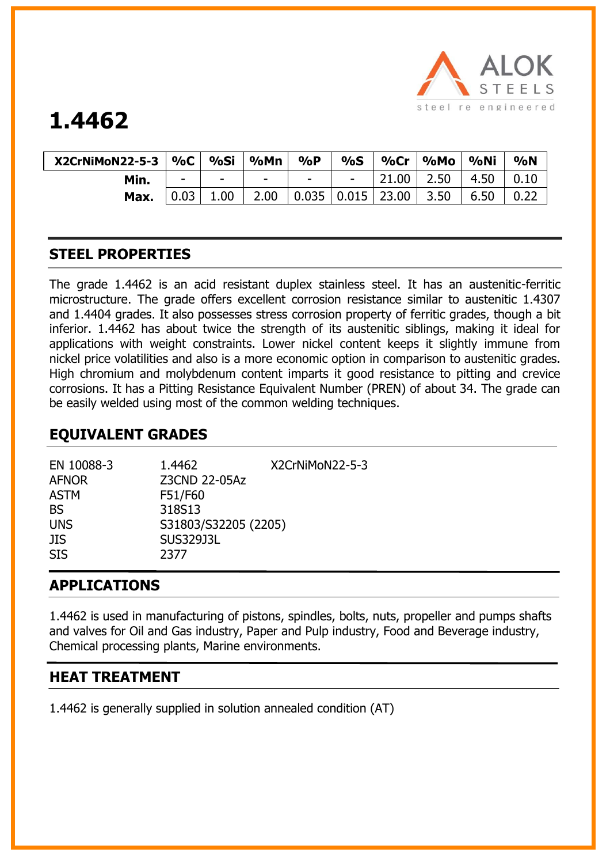

# **1.4462**

| $X2CrNIMoN22-5-3$   %C |                          | %Si                      | %Mn                      | $\%P$                    | $\%S$                    | $%$ Cr | %Mo  | %Ni  | %N   |
|------------------------|--------------------------|--------------------------|--------------------------|--------------------------|--------------------------|--------|------|------|------|
| Min.                   | $\overline{\phantom{0}}$ | $\overline{\phantom{0}}$ | $\overline{\phantom{a}}$ | $\overline{\phantom{0}}$ | $\overline{\phantom{a}}$ | 21.00  | 2.50 | 4.50 |      |
| Max.                   |                          | 1.00 <sub>1</sub>        | 2.00                     | $\vert$ 0.035            | $\vert$ 0.015 $\vert$    | 23.00  | 3.50 | 6.50 | רר ח |

### **STEEL PROPERTIES**

The grade 1.4462 is an acid resistant duplex stainless steel. It has an austenitic-ferritic microstructure. The grade offers excellent corrosion resistance similar to austenitic 1.4307 and 1.4404 grades. It also possesses stress corrosion property of ferritic grades, though a bit inferior. 1.4462 has about twice the strength of its austenitic siblings, making it ideal for applications with weight constraints. Lower nickel content keeps it slightly immune from nickel price volatilities and also is a more economic option in comparison to austenitic grades. High chromium and molybdenum content imparts it good resistance to pitting and crevice corrosions. It has a Pitting Resistance Equivalent Number (PREN) of about 34. The grade can be easily welded using most of the common welding techniques.

## **EQUIVALENT GRADES**

| 1.4462               | X2CrNiMoN22-5-3 |
|----------------------|-----------------|
| Z3CND 22-05Az        |                 |
| F51/F60              |                 |
| 318S13               |                 |
| S31803/S32205 (2205) |                 |
| SUS329J3L            |                 |
| 2377                 |                 |
|                      |                 |

#### **APPLICATIONS**

1.4462 is used in manufacturing of pistons, spindles, bolts, nuts, propeller and pumps shafts and valves for Oil and Gas industry, Paper and Pulp industry, Food and Beverage industry, Chemical processing plants, Marine environments.

### **HEAT TREATMENT**

1.4462 is generally supplied in solution annealed condition (AT)